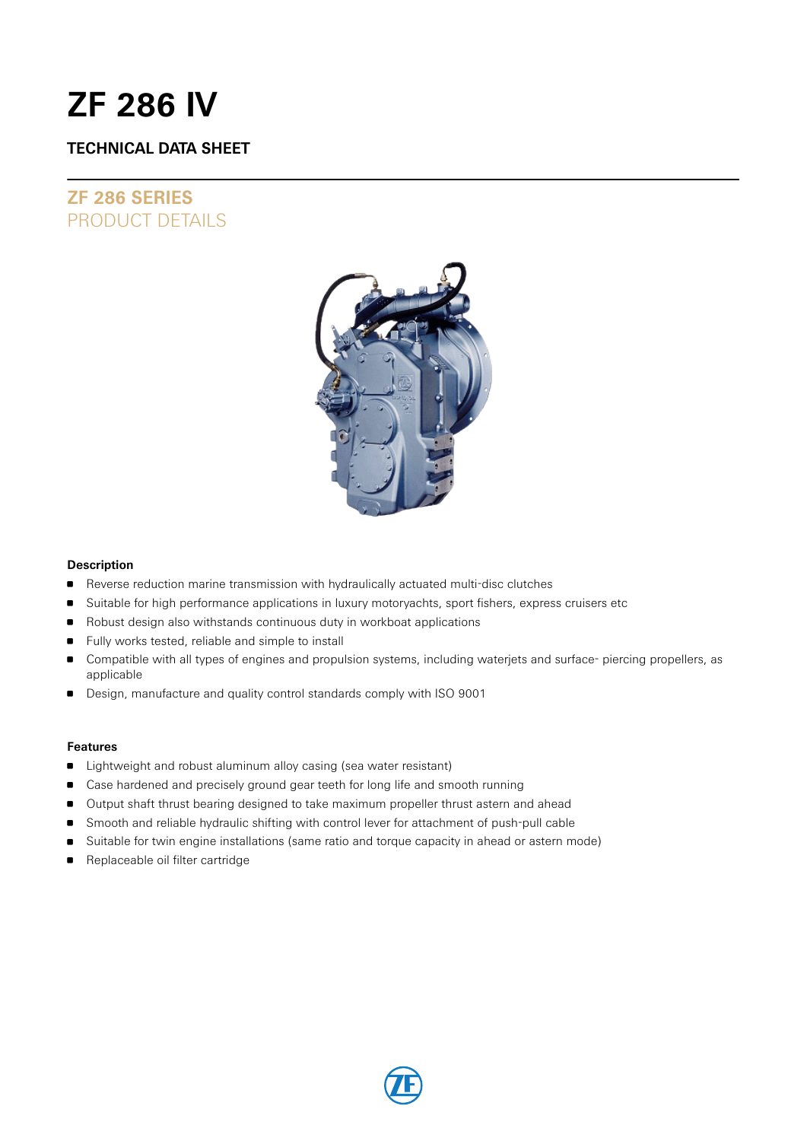# **ZF 286 IV**

### **TECHNICAL DATA SHEET**

## **ZF 286 SERIES** PRODUCT DETAILS



### **Description**

- **Reverse reduction marine transmission with hydraulically actuated multi-disc clutches**
- **Suitable for high performance applications in luxury motoryachts, sport fishers, express cruisers etc**
- Robust design also withstands continuous duty in workboat applications
- Fully works tested, reliable and simple to install
- Compatible with all types of engines and propulsion systems, including waterjets and surface- piercing propellers, as applicable
- Design, manufacture and quality control standards comply with ISO 9001

### **Features**

- Lightweight and robust aluminum alloy casing (sea water resistant)
- **Case hardened and precisely ground gear teeth for long life and smooth running**
- Output shaft thrust bearing designed to take maximum propeller thrust astern and ahead
- **Smooth and reliable hydraulic shifting with control lever for attachment of push-pull cable**
- Suitable for twin engine installations (same ratio and torque capacity in ahead or astern mode)
- **Replaceable oil filter cartridge**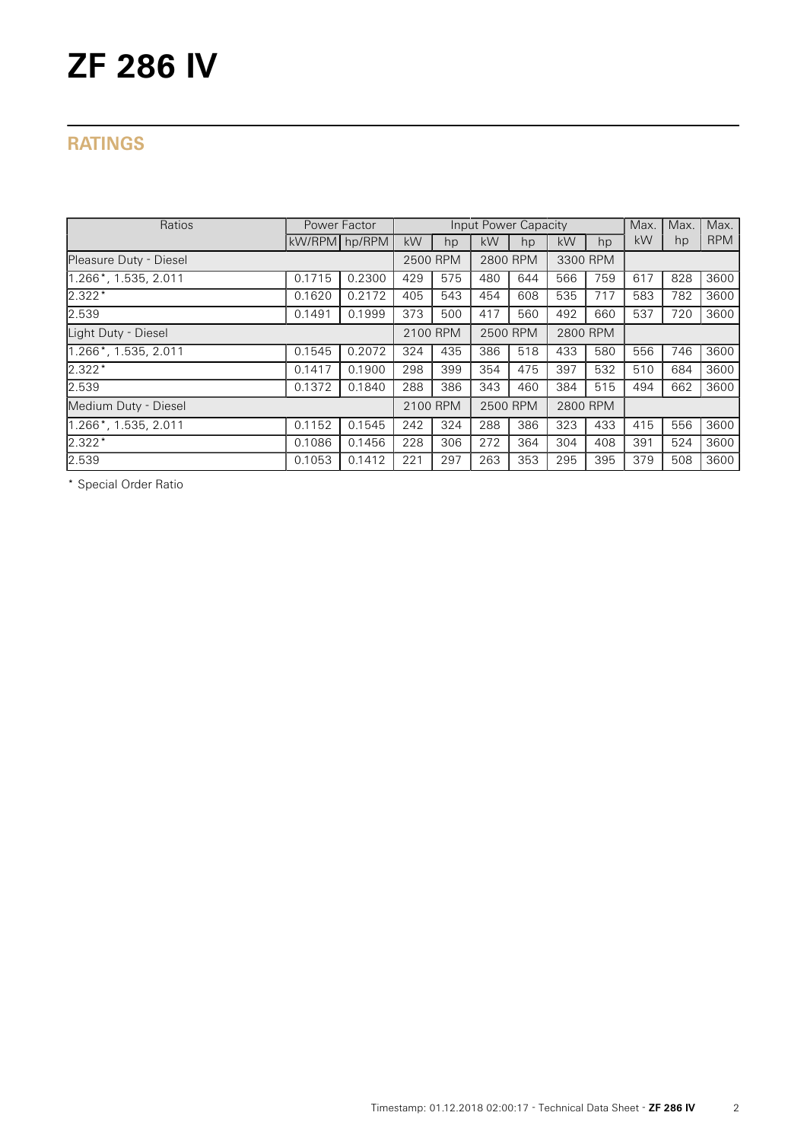# **ZF 286 IV**

## **RATINGS**

| Ratios                  | Power Factor  |        | Input Power Capacity |     |          |     |          |     | Max. | Max. | Max.       |
|-------------------------|---------------|--------|----------------------|-----|----------|-----|----------|-----|------|------|------------|
|                         | kW/RPM hp/RPM |        | kW                   | hp  | kW       | hp  | kW       | hp  | kW   | hp   | <b>RPM</b> |
| Pleasure Duty - Diesel  |               |        | 2500 RPM             |     | 2800 RPM |     | 3300 RPM |     |      |      |            |
| 1.266*, 1.535, 2.011    | 0.1715        | 0.2300 | 429                  | 575 | 480      | 644 | 566      | 759 | 617  | 828  | 3600       |
| $2.322*$                | 0.1620        | 0.2172 | 405                  | 543 | 454      | 608 | 535      | 717 | 583  | 782  | 3600       |
| 2.539                   | 0.1491        | 0.1999 | 373                  | 500 | 417      | 560 | 492      | 660 | 537  | 720  | 3600       |
| Light Duty - Diesel     |               |        | 2100 RPM             |     | 2500 RPM |     | 2800 RPM |     |      |      |            |
| $1.266$ *, 1.535, 2.011 | 0.1545        | 0.2072 | 324                  | 435 | 386      | 518 | 433      | 580 | 556  | 746  | 3600       |
| $2.322*$                | 0.1417        | 0.1900 | 298                  | 399 | 354      | 475 | 397      | 532 | 510  | 684  | 3600       |
| 2.539                   | 0.1372        | 0.1840 | 288                  | 386 | 343      | 460 | 384      | 515 | 494  | 662  | 3600       |
| Medium Duty - Diesel    |               |        | 2100 RPM             |     | 2500 RPM |     | 2800 RPM |     |      |      |            |
| 1.266*, 1.535, 2.011    | 0.1152        | 0.1545 | 242                  | 324 | 288      | 386 | 323      | 433 | 415  | 556  | 3600       |
| $2.322*$                | 0.1086        | 0.1456 | 228                  | 306 | 272      | 364 | 304      | 408 | 391  | 524  | 3600       |
| 2.539                   | 0.1053        | 0.1412 | 221                  | 297 | 263      | 353 | 295      | 395 | 379  | 508  | 3600       |

\* Special Order Ratio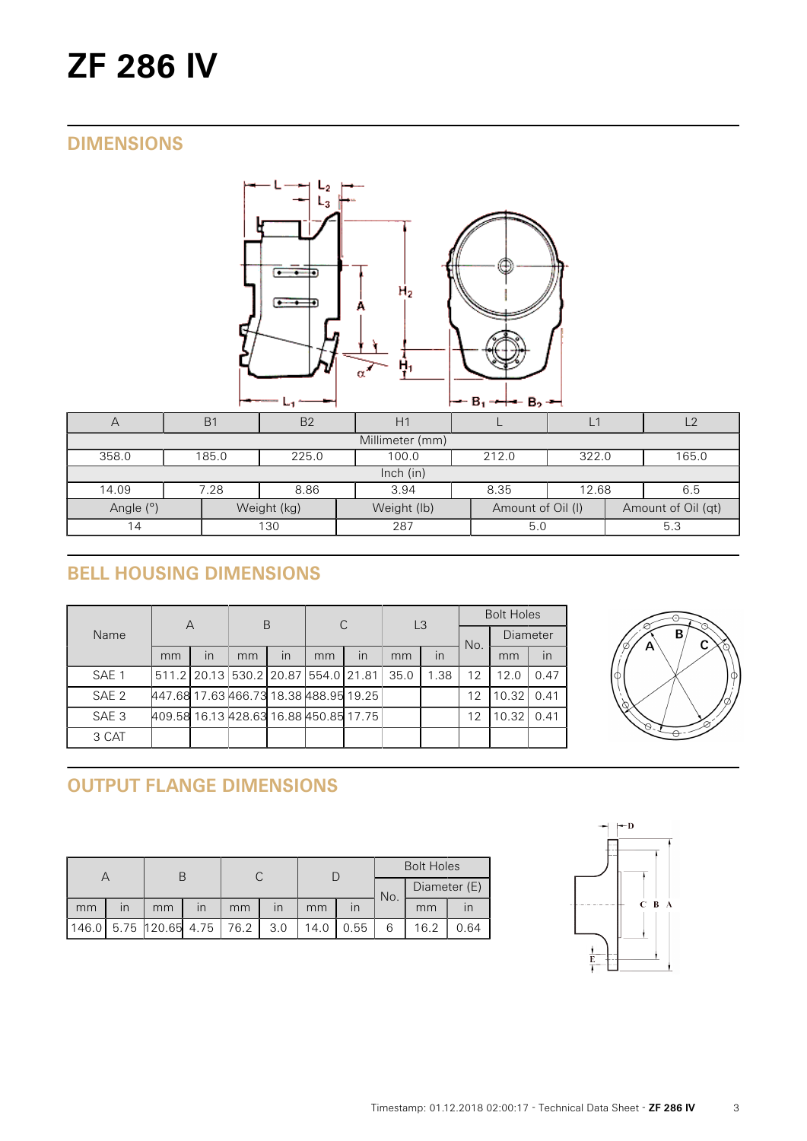# **ZF 286 IV**

## **DIMENSIONS**



| $\sqrt{}$                | B <sub>1</sub> | B <sub>2</sub> | H1          |                   | Ľ     |                    |       |  |  |  |
|--------------------------|----------------|----------------|-------------|-------------------|-------|--------------------|-------|--|--|--|
| Millimeter (mm)          |                |                |             |                   |       |                    |       |  |  |  |
| 358.0                    | 185.0          | 225.0          | 100.0       | 212.0             | 322.0 |                    | 165.0 |  |  |  |
| Inch $(in)$              |                |                |             |                   |       |                    |       |  |  |  |
| 14.09                    | 7.28           | 8.86           | 3.94        | 8.35              | 12.68 |                    | 6.5   |  |  |  |
| Angle (°)<br>Weight (kg) |                |                | Weight (lb) | Amount of Oil (I) |       | Amount of Oil (qt) |       |  |  |  |
| 130<br>14                |                |                | 287         | 5.0               |       |                    | 5.3   |  |  |  |

# **BELL HOUSING DIMENSIONS**

|                  | A                                      |    | B                                             |    | C  |    | L <sub>3</sub> |      | <b>Bolt Holes</b> |                 |      |
|------------------|----------------------------------------|----|-----------------------------------------------|----|----|----|----------------|------|-------------------|-----------------|------|
| Name             |                                        |    |                                               |    |    |    |                |      | No.               | <b>Diameter</b> |      |
|                  | mm                                     | in | mm                                            | in | mm | in | mm             | in   |                   | mm              | in   |
| SAE <sub>1</sub> |                                        |    | 511.2   20.13   530.2   20.87   554.0   21.81 |    |    |    | 35.0           | 1.38 | 12                | 12.0            | 0.47 |
| SAE <sub>2</sub> | 447.68 17.63 466.73 18.38 488.95 19.25 |    |                                               |    |    |    |                |      | 12                | 10.32           | 0.41 |
| SAE <sub>3</sub> | 409.58 16.13 428.63 16.88 450.85 17.75 |    |                                               |    |    |    |                |      | 12                | 10.32           | 0.41 |
| 3 CAT            |                                        |    |                                               |    |    |    |                |      |                   |                 |      |



# **OUTPUT FLANGE DIMENSIONS**

|       |                         |                           |                         |    |                         |      |                         |              | <b>Bolt Holes</b> |      |  |
|-------|-------------------------|---------------------------|-------------------------|----|-------------------------|------|-------------------------|--------------|-------------------|------|--|
|       |                         |                           |                         |    |                         |      | No.                     | Diameter (E) |                   |      |  |
| mm    | $\overline{\mathsf{I}}$ | mm                        | $\overline{\mathsf{I}}$ | mm | $\overline{\mathsf{I}}$ | mm   | $\overline{\mathsf{I}}$ |              | mm                |      |  |
| 146.0 |                         | $5.75$ 120.65 4.75   76.2 |                         |    | 3.0                     | 14.0 | 0.55                    |              | 16.2              | 0.64 |  |